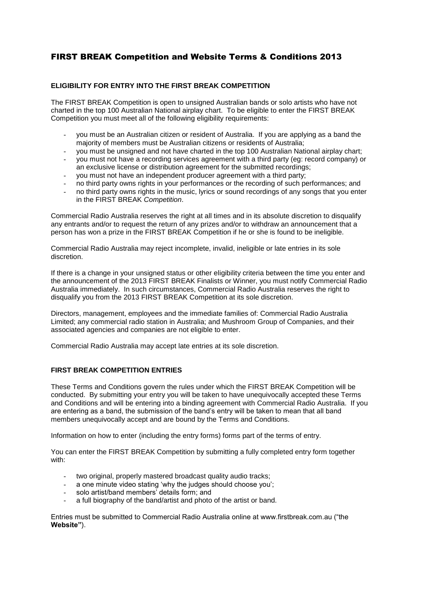# FIRST BREAK Competition and Website Terms & Conditions 2013

# **ELIGIBILITY FOR ENTRY INTO THE FIRST BREAK COMPETITION**

The FIRST BREAK Competition is open to unsigned Australian bands or solo artists who have not charted in the top 100 Australian National airplay chart. To be eligible to enter the FIRST BREAK Competition you must meet all of the following eligibility requirements:

- you must be an Australian citizen or resident of Australia. If you are applying as a band the majority of members must be Australian citizens or residents of Australia;
- you must be unsigned and not have charted in the top 100 Australian National airplay chart;
- you must not have a recording services agreement with a third party (eg: record company) or an exclusive license or distribution agreement for the submitted recordings;
- you must not have an independent producer agreement with a third party;
- no third party owns rights in your performances or the recording of such performances; and
- no third party owns rights in the music, lyrics or sound recordings of any songs that you enter in the FIRST BREAK *Competition*.

Commercial Radio Australia reserves the right at all times and in its absolute discretion to disqualify any entrants and/or to request the return of any prizes and/or to withdraw an announcement that a person has won a prize in the FIRST BREAK Competition if he or she is found to be ineligible.

Commercial Radio Australia may reject incomplete, invalid, ineligible or late entries in its sole discretion.

If there is a change in your unsigned status or other eligibility criteria between the time you enter and the announcement of the 2013 FIRST BREAK Finalists or Winner, you must notify Commercial Radio Australia immediately. In such circumstances, Commercial Radio Australia reserves the right to disqualify you from the 2013 FIRST BREAK Competition at its sole discretion.

Directors, management, employees and the immediate families of: Commercial Radio Australia Limited; any commercial radio station in Australia; and Mushroom Group of Companies, and their associated agencies and companies are not eligible to enter.

Commercial Radio Australia may accept late entries at its sole discretion.

# **FIRST BREAK COMPETITION ENTRIES**

These Terms and Conditions govern the rules under which the FIRST BREAK Competition will be conducted. By submitting your entry you will be taken to have unequivocally accepted these Terms and Conditions and will be entering into a binding agreement with Commercial Radio Australia. If you are entering as a band, the submission of the band's entry will be taken to mean that all band members unequivocally accept and are bound by the Terms and Conditions.

Information on how to enter (including the entry forms) forms part of the terms of entry.

You can enter the FIRST BREAK Competition by submitting a fully completed entry form together with:

- two original, properly mastered broadcast quality audio tracks;
- a one minute video stating 'why the judges should choose you';
- solo artist/band members' details form; and
- a full biography of the band/artist and photo of the artist or band.

Entries must be submitted to Commercial Radio Australia online at www.firstbreak.com.au ("the **Website"**).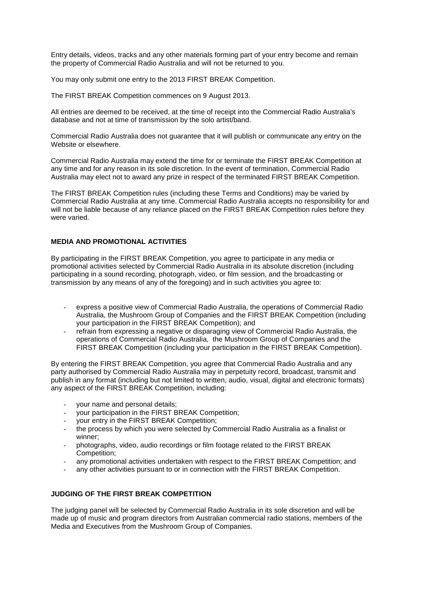Entry details, videos, tracks and any other materials forming part of your entry become and remain the property of Commercial Radio Australia and will not be returned to you.

You may only submit one entry to the 2013 FIRST BREAK Competition.

The FIRST BREAK Competition commences on 9 August 2013.

All entries are deemed to be received, at the time of receipt into the Commercial Radio Australia's database and not at time of transmission by the solo artist/band.

Commercial Radio Australia does not guarantee that it will publish or communicate any entry on the Website or elsewhere.

Commercial Radio Australia may extend the time for or terminate the FIRST BREAK Competition at any time and for any reason in its sole discretion. In the event of termination, Commercial Radio Australia may elect not to award any prize in respect of the terminated FIRST BREAK Competition.

The FIRST BREAK Competition rules (including these Terms and Conditions) may be varied by Commercial Radio Australia at any time. Commercial Radio Australia accepts no responsibility for and will not be liable because of any reliance placed on the FIRST BREAK Competition rules before they were varied.

#### **MEDIA AND PROMOTIONAL ACTIVITIES**

By participating in the FIRST BREAK Competition, you agree to participate in any media or promotional activities selected by Commercial Radio Australia in its absolute discretion (including participating in a sound recording, photograph, video, or film session, and the broadcasting or transmission by any means of any of the foregoing) and in such activities you agree to:

- express a positive view of Commercial Radio Australia, the operations of Commercial Radio Australia, the Mushroom Group of Companies and the FIRST BREAK Competition (including your participation in the FIRST BREAK Competition); and
- refrain from expressing a negative or disparaging view of Commercial Radio Australia, the operations of Commercial Radio Australia, the Mushroom Group of Companies and the FIRST BREAK Competition (including your participation in the FIRST BREAK Competition).

By entering the FIRST BREAK Competition, you agree that Commercial Radio Australia and any party authorised by Commercial Radio Australia may in perpetuity record, broadcast, transmit and publish in any format (including but not limited to written, audio, visual, digital and electronic formats) any aspect of the FIRST BREAK Competition, including:

- your name and personal details;
- your participation in the FIRST BREAK Competition;
- your entry in the FIRST BREAK Competition;
- the process by which you were selected by Commercial Radio Australia as a finalist or winner;
- photographs, video, audio recordings or film footage related to the FIRST BREAK Competition;
- any promotional activities undertaken with respect to the FIRST BREAK Competition; and
- any other activities pursuant to or in connection with the FIRST BREAK Competition.

### **JUDGING OF THE FIRST BREAK COMPETITION**

The judging panel will be selected by Commercial Radio Australia in its sole discretion and will be made up of music and program directors from Australian commercial radio stations, members of the Media and Executives from the Mushroom Group of Companies.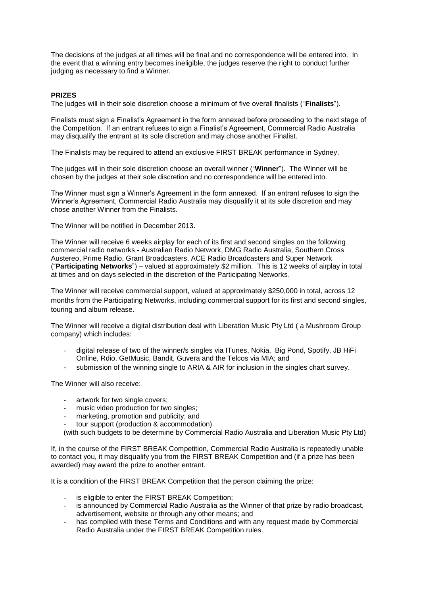The decisions of the judges at all times will be final and no correspondence will be entered into. In the event that a winning entry becomes ineligible, the judges reserve the right to conduct further judging as necessary to find a Winner.

# **PRIZES**

The judges will in their sole discretion choose a minimum of five overall finalists ("**Finalists**").

Finalists must sign a Finalist's Agreement in the form annexed before proceeding to the next stage of the Competition. If an entrant refuses to sign a Finalist's Agreement, Commercial Radio Australia may disqualify the entrant at its sole discretion and may chose another Finalist.

The Finalists may be required to attend an exclusive FIRST BREAK performance in Sydney.

The judges will in their sole discretion choose an overall winner ("**Winner**"). The Winner will be chosen by the judges at their sole discretion and no correspondence will be entered into.

The Winner must sign a Winner's Agreement in the form annexed. If an entrant refuses to sign the Winner's Agreement, Commercial Radio Australia may disqualify it at its sole discretion and may chose another Winner from the Finalists.

The Winner will be notified in December 2013.

The Winner will receive 6 weeks airplay for each of its first and second singles on the following commercial radio networks - Australian Radio Network, DMG Radio Australia, Southern Cross Austereo, Prime Radio, Grant Broadcasters, ACE Radio Broadcasters and Super Network ("**Participating Networks**") – valued at approximately \$2 million. This is 12 weeks of airplay in total at times and on days selected in the discretion of the Participating Networks.

The Winner will receive commercial support, valued at approximately \$250,000 in total, across 12 months from the Participating Networks, including commercial support for its first and second singles, touring and album release.

The Winner will receive a digital distribution deal with Liberation Music Pty Ltd ( a Mushroom Group company) which includes:

- digital release of two of the winner/s singles via ITunes, Nokia, Big Pond, Spotify, JB HiFi Online, Rdio, GetMusic, Bandit, Guvera and the Telcos via MIA; and
- submission of the winning single to ARIA & AIR for inclusion in the singles chart survey.

The Winner will also receive:

- artwork for two single covers:
- music video production for two singles:
- marketing, promotion and publicity; and
- tour support (production & accommodation)

(with such budgets to be determine by Commercial Radio Australia and Liberation Music Pty Ltd)

If, in the course of the FIRST BREAK Competition, Commercial Radio Australia is repeatedly unable to contact you, it may disqualify you from the FIRST BREAK Competition and (if a prize has been awarded) may award the prize to another entrant.

It is a condition of the FIRST BREAK Competition that the person claiming the prize:

- is eligible to enter the FIRST BREAK Competition;
- is announced by Commercial Radio Australia as the Winner of that prize by radio broadcast, advertisement, website or through any other means; and
- has complied with these Terms and Conditions and with any request made by Commercial Radio Australia under the FIRST BREAK Competition rules.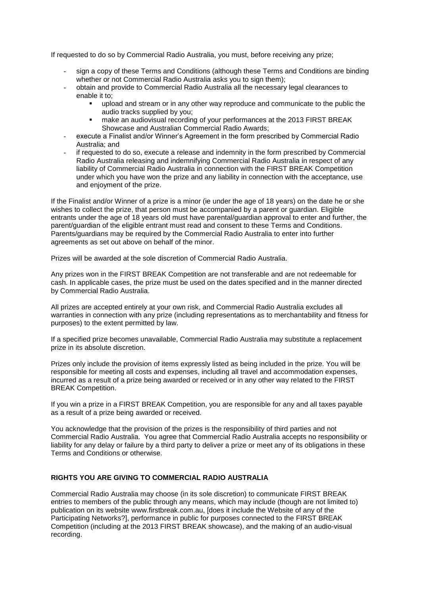If requested to do so by Commercial Radio Australia, you must, before receiving any prize;

- sign a copy of these Terms and Conditions (although these Terms and Conditions are binding whether or not Commercial Radio Australia asks you to sign them);
- obtain and provide to Commercial Radio Australia all the necessary legal clearances to enable it to;
	- upload and stream or in any other way reproduce and communicate to the public the audio tracks supplied by you;
	- make an audiovisual recording of your performances at the 2013 FIRST BREAK Showcase and Australian Commercial Radio Awards;
- execute a Finalist and/or Winner's Agreement in the form prescribed by Commercial Radio Australia; and
- if requested to do so, execute a release and indemnity in the form prescribed by Commercial Radio Australia releasing and indemnifying Commercial Radio Australia in respect of any liability of Commercial Radio Australia in connection with the FIRST BREAK Competition under which you have won the prize and any liability in connection with the acceptance, use and enjoyment of the prize.

If the Finalist and/or Winner of a prize is a minor (ie under the age of 18 years) on the date he or she wishes to collect the prize, that person must be accompanied by a parent or guardian. Eligible entrants under the age of 18 years old must have parental/guardian approval to enter and further, the parent/guardian of the eligible entrant must read and consent to these Terms and Conditions. Parents/guardians may be required by the Commercial Radio Australia to enter into further agreements as set out above on behalf of the minor.

Prizes will be awarded at the sole discretion of Commercial Radio Australia.

Any prizes won in the FIRST BREAK Competition are not transferable and are not redeemable for cash. In applicable cases, the prize must be used on the dates specified and in the manner directed by Commercial Radio Australia.

All prizes are accepted entirely at your own risk, and Commercial Radio Australia excludes all warranties in connection with any prize (including representations as to merchantability and fitness for purposes) to the extent permitted by law.

If a specified prize becomes unavailable, Commercial Radio Australia may substitute a replacement prize in its absolute discretion.

Prizes only include the provision of items expressly listed as being included in the prize. You will be responsible for meeting all costs and expenses, including all travel and accommodation expenses, incurred as a result of a prize being awarded or received or in any other way related to the FIRST BREAK Competition.

If you win a prize in a FIRST BREAK Competition, you are responsible for any and all taxes payable as a result of a prize being awarded or received.

You acknowledge that the provision of the prizes is the responsibility of third parties and not Commercial Radio Australia. You agree that Commercial Radio Australia accepts no responsibility or liability for any delay or failure by a third party to deliver a prize or meet any of its obligations in these Terms and Conditions or otherwise.

# **RIGHTS YOU ARE GIVING TO COMMERCIAL RADIO AUSTRALIA**

Commercial Radio Australia may choose (in its sole discretion) to communicate FIRST BREAK entries to members of the public through any means, which may include (though are not limited to) publication on its website www.firstbreak.com.au, [does it include the Website of any of the Participating Networks?], performance in public for purposes connected to the FIRST BREAK Competition (including at the 2013 FIRST BREAK showcase), and the making of an audio-visual recording.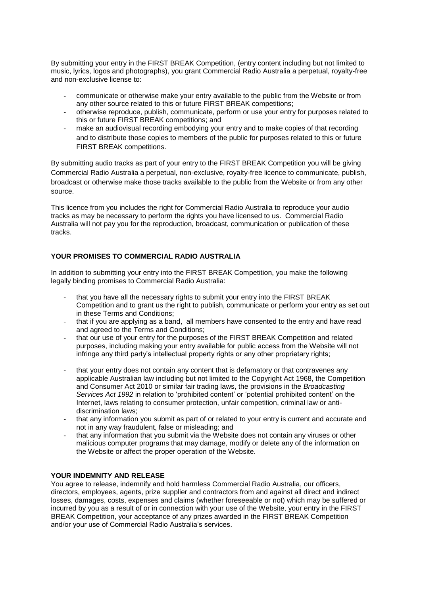By submitting your entry in the FIRST BREAK Competition, (entry content including but not limited to music, lyrics, logos and photographs), you grant Commercial Radio Australia a perpetual, royalty-free and non-exclusive license to:

- communicate or otherwise make your entry available to the public from the Website or from any other source related to this or future FIRST BREAK competitions;
- otherwise reproduce, publish, communicate, perform or use your entry for purposes related to this or future FIRST BREAK competitions; and
- make an audiovisual recording embodying your entry and to make copies of that recording and to distribute those copies to members of the public for purposes related to this or future FIRST BREAK competitions.

By submitting audio tracks as part of your entry to the FIRST BREAK Competition you will be giving Commercial Radio Australia a perpetual, non-exclusive, royalty-free licence to communicate, publish, broadcast or otherwise make those tracks available to the public from the Website or from any other source.

This licence from you includes the right for Commercial Radio Australia to reproduce your audio tracks as may be necessary to perform the rights you have licensed to us. Commercial Radio Australia will not pay you for the reproduction, broadcast, communication or publication of these tracks.

# **YOUR PROMISES TO COMMERCIAL RADIO AUSTRALIA**

In addition to submitting your entry into the FIRST BREAK Competition, you make the following legally binding promises to Commercial Radio Australia:

- that you have all the necessary rights to submit your entry into the FIRST BREAK Competition and to grant us the right to publish, communicate or perform your entry as set out in these Terms and Conditions;
- that if you are applying as a band, all members have consented to the entry and have read and agreed to the Terms and Conditions;
- that our use of your entry for the purposes of the FIRST BREAK Competition and related purposes, including making your entry available for public access from the Website will not infringe any third party's intellectual property rights or any other proprietary rights;
- that your entry does not contain any content that is defamatory or that contravenes any applicable Australian law including but not limited to the Copyright Act 1968, the Competition and Consumer Act 2010 or similar fair trading laws, the provisions in the *Broadcasting Services Act 1992* in relation to 'prohibited content' or 'potential prohibited content' on the Internet, laws relating to consumer protection, unfair competition, criminal law or antidiscrimination laws;
- that any information you submit as part of or related to your entry is current and accurate and not in any way fraudulent, false or misleading; and
- that any information that you submit via the Website does not contain any viruses or other malicious computer programs that may damage, modify or delete any of the information on the Website or affect the proper operation of the Website.

# **YOUR INDEMNITY AND RELEASE**

You agree to release, indemnify and hold harmless Commercial Radio Australia, our officers, directors, employees, agents, prize supplier and contractors from and against all direct and indirect losses, damages, costs, expenses and claims (whether foreseeable or not) which may be suffered or incurred by you as a result of or in connection with your use of the Website, your entry in the FIRST BREAK Competition, your acceptance of any prizes awarded in the FIRST BREAK Competition and/or your use of Commercial Radio Australia's services.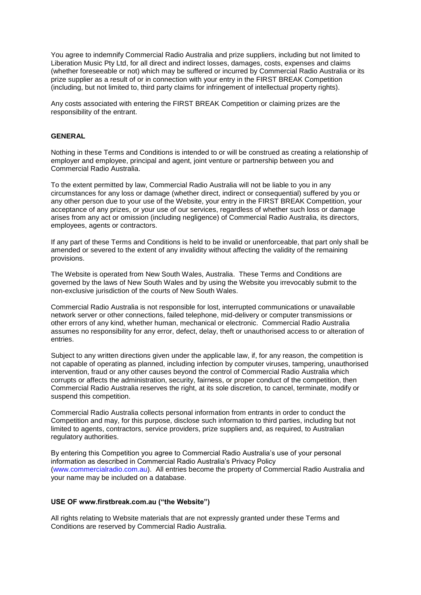You agree to indemnify Commercial Radio Australia and prize suppliers, including but not limited to Liberation Music Pty Ltd, for all direct and indirect losses, damages, costs, expenses and claims (whether foreseeable or not) which may be suffered or incurred by Commercial Radio Australia or its prize supplier as a result of or in connection with your entry in the FIRST BREAK Competition (including, but not limited to, third party claims for infringement of intellectual property rights).

Any costs associated with entering the FIRST BREAK Competition or claiming prizes are the responsibility of the entrant.

### **GENERAL**

Nothing in these Terms and Conditions is intended to or will be construed as creating a relationship of employer and employee, principal and agent, joint venture or partnership between you and Commercial Radio Australia.

To the extent permitted by law, Commercial Radio Australia will not be liable to you in any circumstances for any loss or damage (whether direct, indirect or consequential) suffered by you or any other person due to your use of the Website, your entry in the FIRST BREAK Competition, your acceptance of any prizes, or your use of our services, regardless of whether such loss or damage arises from any act or omission (including negligence) of Commercial Radio Australia, its directors, employees, agents or contractors.

If any part of these Terms and Conditions is held to be invalid or unenforceable, that part only shall be amended or severed to the extent of any invalidity without affecting the validity of the remaining provisions.

The Website is operated from New South Wales, Australia. These Terms and Conditions are governed by the laws of New South Wales and by using the Website you irrevocably submit to the non-exclusive jurisdiction of the courts of New South Wales.

Commercial Radio Australia is not responsible for lost, interrupted communications or unavailable network server or other connections, failed telephone, mid-delivery or computer transmissions or other errors of any kind, whether human, mechanical or electronic. Commercial Radio Australia assumes no responsibility for any error, defect, delay, theft or unauthorised access to or alteration of entries.

Subject to any written directions given under the applicable law, if, for any reason, the competition is not capable of operating as planned, including infection by computer viruses, tampering, unauthorised intervention, fraud or any other causes beyond the control of Commercial Radio Australia which corrupts or affects the administration, security, fairness, or proper conduct of the competition, then Commercial Radio Australia reserves the right, at its sole discretion, to cancel, terminate, modify or suspend this competition.

Commercial Radio Australia collects personal information from entrants in order to conduct the Competition and may, for this purpose, disclose such information to third parties, including but not limited to agents, contractors, service providers, prize suppliers and, as required, to Australian regulatory authorities.

By entering this Competition you agree to Commercial Radio Australia's use of your personal information as described in Commercial Radio Australia's Privacy Policy [\(www.commercialradio.com.au\)](http://www.commercialradio.com.au/). All entries become the property of Commercial Radio Australia and your name may be included on a database.

#### **USE OF www.firstbreak.com.au ("the Website")**

All rights relating to Website materials that are not expressly granted under these Terms and Conditions are reserved by Commercial Radio Australia.